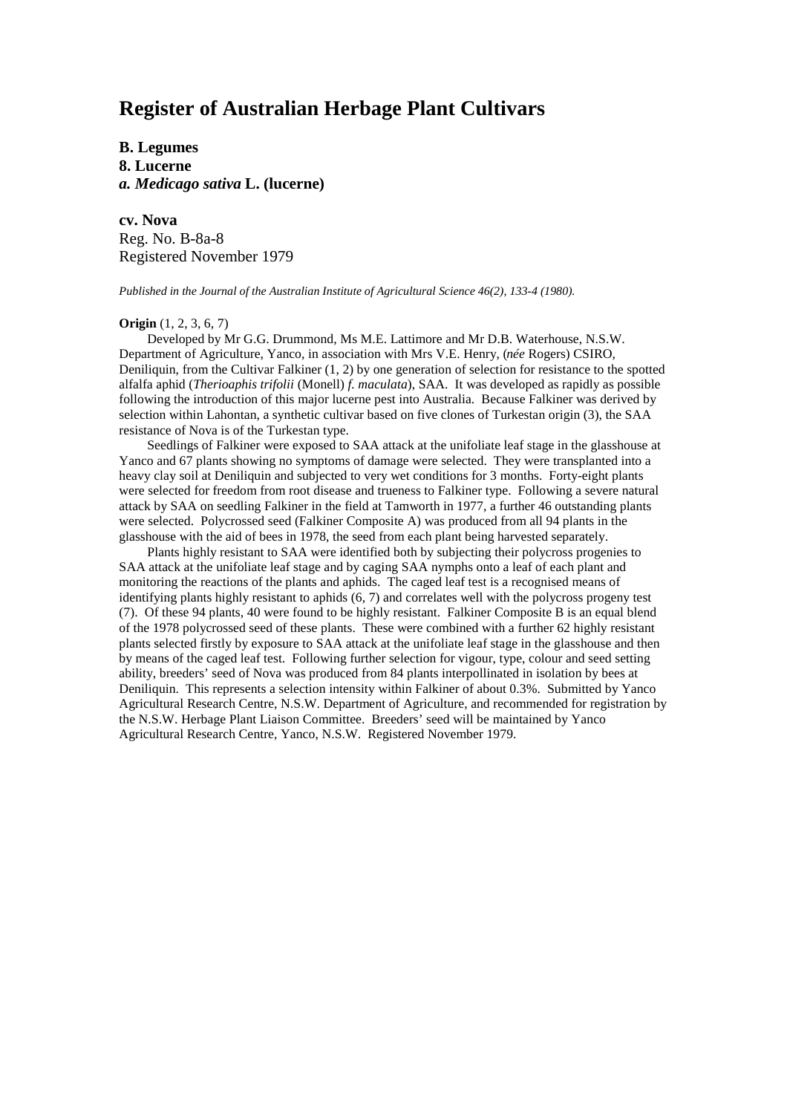# **Register of Australian Herbage Plant Cultivars**

**B. Legumes 8. Lucerne** *a. Medicago sativa* **L. (lucerne)**

**cv. Nova** Reg. No. B-8a-8 Registered November 1979

*Published in the Journal of the Australian Institute of Agricultural Science 46(2), 133-4 (1980).*

#### **Origin** (1, 2, 3, 6, 7)

Developed by Mr G.G. Drummond, Ms M.E. Lattimore and Mr D.B. Waterhouse, N.S.W. Department of Agriculture, Yanco, in association with Mrs V.E. Henry, (*née* Rogers) CSIRO, Deniliquin, from the Cultivar Falkiner (1, 2) by one generation of selection for resistance to the spotted alfalfa aphid (*Therioaphis trifolii* (Monell) *f. maculata*), SAA. It was developed as rapidly as possible following the introduction of this major lucerne pest into Australia. Because Falkiner was derived by selection within Lahontan, a synthetic cultivar based on five clones of Turkestan origin (3), the SAA resistance of Nova is of the Turkestan type.

Seedlings of Falkiner were exposed to SAA attack at the unifoliate leaf stage in the glasshouse at Yanco and 67 plants showing no symptoms of damage were selected. They were transplanted into a heavy clay soil at Deniliquin and subjected to very wet conditions for 3 months. Forty-eight plants were selected for freedom from root disease and trueness to Falkiner type. Following a severe natural attack by SAA on seedling Falkiner in the field at Tamworth in 1977, a further 46 outstanding plants were selected. Polycrossed seed (Falkiner Composite A) was produced from all 94 plants in the glasshouse with the aid of bees in 1978, the seed from each plant being harvested separately.

Plants highly resistant to SAA were identified both by subjecting their polycross progenies to SAA attack at the unifoliate leaf stage and by caging SAA nymphs onto a leaf of each plant and monitoring the reactions of the plants and aphids. The caged leaf test is a recognised means of identifying plants highly resistant to aphids (6, 7) and correlates well with the polycross progeny test (7). Of these 94 plants, 40 were found to be highly resistant. Falkiner Composite B is an equal blend of the 1978 polycrossed seed of these plants. These were combined with a further 62 highly resistant plants selected firstly by exposure to SAA attack at the unifoliate leaf stage in the glasshouse and then by means of the caged leaf test. Following further selection for vigour, type, colour and seed setting ability, breeders' seed of Nova was produced from 84 plants interpollinated in isolation by bees at Deniliquin. This represents a selection intensity within Falkiner of about 0.3%. Submitted by Yanco Agricultural Research Centre, N.S.W. Department of Agriculture, and recommended for registration by the N.S.W. Herbage Plant Liaison Committee. Breeders' seed will be maintained by Yanco Agricultural Research Centre, Yanco, N.S.W. Registered November 1979.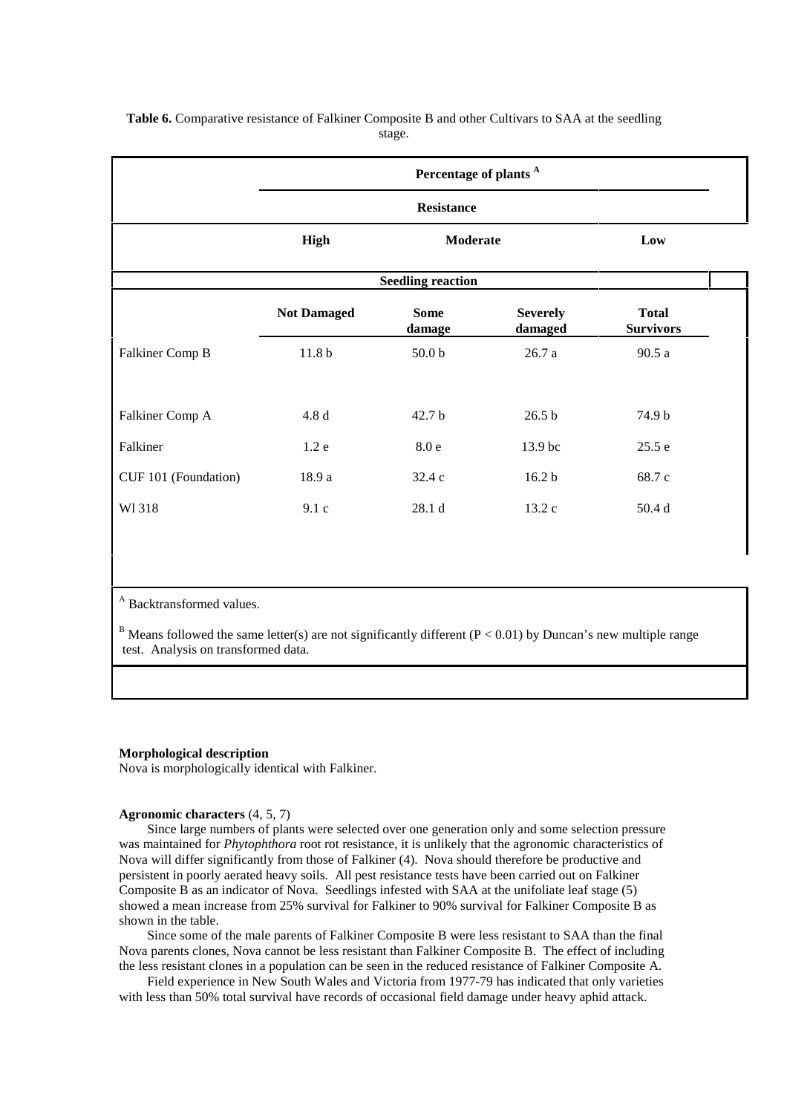|                          | Percentage of plants <sup>A</sup> |                       |                            |                                  |  |
|--------------------------|-----------------------------------|-----------------------|----------------------------|----------------------------------|--|
|                          | <b>Resistance</b>                 |                       |                            |                                  |  |
|                          | <b>High</b>                       | Moderate              |                            | Low                              |  |
| <b>Seedling reaction</b> |                                   |                       |                            |                                  |  |
|                          | <b>Not Damaged</b>                | <b>Some</b><br>damage | <b>Severely</b><br>damaged | <b>Total</b><br><b>Survivors</b> |  |
| Falkiner Comp B          | 11.8 <sub>b</sub>                 | 50.0 <sub>b</sub>     | 26.7a                      | 90.5a                            |  |
|                          |                                   |                       |                            |                                  |  |
| Falkiner Comp A          | 4.8 d                             | 42.7 <sub>b</sub>     | $26.5b$                    | 74.9 b                           |  |
| Falkiner                 | 1.2e                              | $8.0e$                | 13.9 bc                    | 25.5 e                           |  |
| CUF 101 (Foundation)     | 18.9 a                            | 32.4 c                | 16.2 <sub>b</sub>          | 68.7 c                           |  |
| W1318                    | 9.1c                              | 28.1 d                | 13.2 c                     | 50.4 d                           |  |
|                          |                                   |                       |                            |                                  |  |

## **Table 6.** Comparative resistance of Falkiner Composite B and other Cultivars to SAA at the seedling stage.

A Backtransformed values.

<sup>B</sup> Means followed the same letter(s) are not significantly different ( $P < 0.01$ ) by Duncan's new multiple range test. Analysis on transformed data.

### **Morphological description**

Nova is morphologically identical with Falkiner.

## **Agronomic characters** (4, 5, 7)

Since large numbers of plants were selected over one generation only and some selection pressure was maintained for *Phytophthora* root rot resistance, it is unlikely that the agronomic characteristics of Nova will differ significantly from those of Falkiner (4). Nova should therefore be productive and persistent in poorly aerated heavy soils. All pest resistance tests have been carried out on Falkiner Composite B as an indicator of Nova. Seedlings infested with SAA at the unifoliate leaf stage (5) showed a mean increase from 25% survival for Falkiner to 90% survival for Falkiner Composite B as shown in the table.

Since some of the male parents of Falkiner Composite B were less resistant to SAA than the final Nova parents clones, Nova cannot be less resistant than Falkiner Composite B. The effect of including the less resistant clones in a population can be seen in the reduced resistance of Falkiner Composite A.

Field experience in New South Wales and Victoria from 1977-79 has indicated that only varieties with less than 50% total survival have records of occasional field damage under heavy aphid attack.